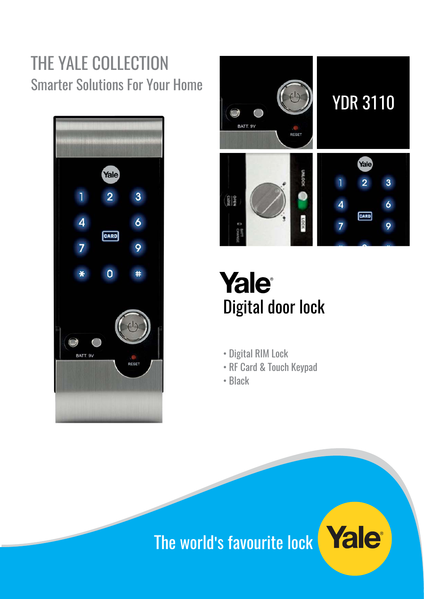# THE YALE COLLECTION Smarter Solutions For Your Home





Yale® Digital door lock

- Digital RIM Lock
- RF Card & Touch Keypad
- Black

# The world's favourite lock